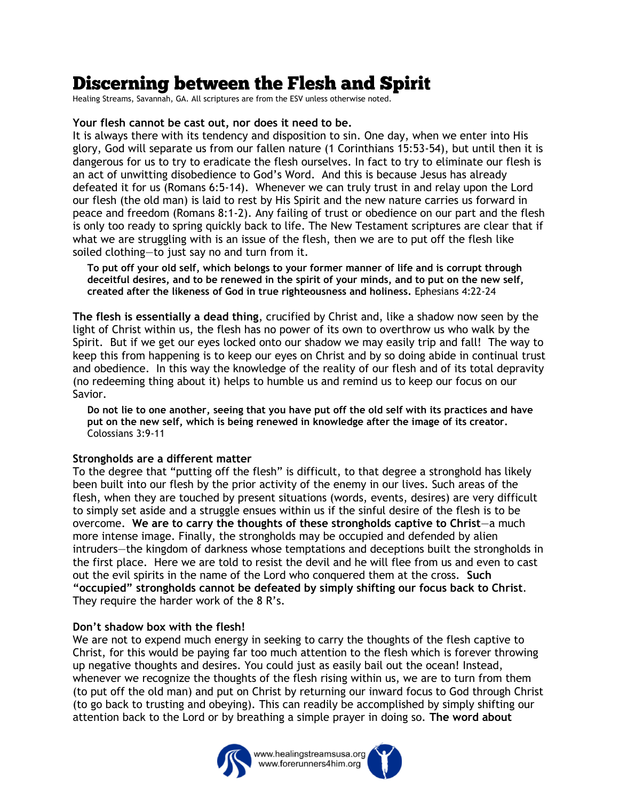## **Discerning between the Flesh and Spirit**

Healing Streams, Savannah, GA. All scriptures are from the ESV unless otherwise noted.

## **Your flesh cannot be cast out, nor does it need to be.**

It is always there with its tendency and disposition to sin. One day, when we enter into His glory, God will separate us from our fallen nature (1 Corinthians 15:53-54), but until then it is dangerous for us to try to eradicate the flesh ourselves. In fact to try to eliminate our flesh is an act of unwitting disobedience to God's Word. And this is because Jesus has already defeated it for us (Romans 6:5-14). Whenever we can truly trust in and relay upon the Lord our flesh (the old man) is laid to rest by His Spirit and the new nature carries us forward in peace and freedom (Romans 8:1-2). Any failing of trust or obedience on our part and the flesh is only too ready to spring quickly back to life. The New Testament scriptures are clear that if what we are struggling with is an issue of the flesh, then we are to put off the flesh like soiled clothing—to just say no and turn from it.

**To put off your old self, which belongs to your former manner of life and is corrupt through deceitful desires, and to be renewed in the spirit of your minds, and to put on the new self, created after the likeness of God in true righteousness and holiness.** Ephesians 4:22-24

**The flesh is essentially a dead thing**, crucified by Christ and, like a shadow now seen by the light of Christ within us, the flesh has no power of its own to overthrow us who walk by the Spirit. But if we get our eyes locked onto our shadow we may easily trip and fall! The way to keep this from happening is to keep our eyes on Christ and by so doing abide in continual trust and obedience. In this way the knowledge of the reality of our flesh and of its total depravity (no redeeming thing about it) helps to humble us and remind us to keep our focus on our Savior.

**Do not lie to one another, seeing that you have put off the old self with its practices and have put on the new self, which is being renewed in knowledge after the image of its creator.** Colossians 3:9-11

## **Strongholds are a different matter**

To the degree that "putting off the flesh" is difficult, to that degree a stronghold has likely been built into our flesh by the prior activity of the enemy in our lives. Such areas of the flesh, when they are touched by present situations (words, events, desires) are very difficult to simply set aside and a struggle ensues within us if the sinful desire of the flesh is to be overcome. **We are to carry the thoughts of these strongholds captive to Christ**—a much more intense image. Finally, the strongholds may be occupied and defended by alien intruders—the kingdom of darkness whose temptations and deceptions built the strongholds in the first place. Here we are told to resist the devil and he will flee from us and even to cast out the evil spirits in the name of the Lord who conquered them at the cross. **Such "occupied" strongholds cannot be defeated by simply shifting our focus back to Christ**. They require the harder work of the 8 R's.

## **Don't shadow box with the flesh!**

We are not to expend much energy in seeking to carry the thoughts of the flesh captive to Christ, for this would be paying far too much attention to the flesh which is forever throwing up negative thoughts and desires. You could just as easily bail out the ocean! Instead, whenever we recognize the thoughts of the flesh rising within us, we are to turn from them (to put off the old man) and put on Christ by returning our inward focus to God through Christ (to go back to trusting and obeying). This can readily be accomplished by simply shifting our attention back to the Lord or by breathing a simple prayer in doing so. **The word about**